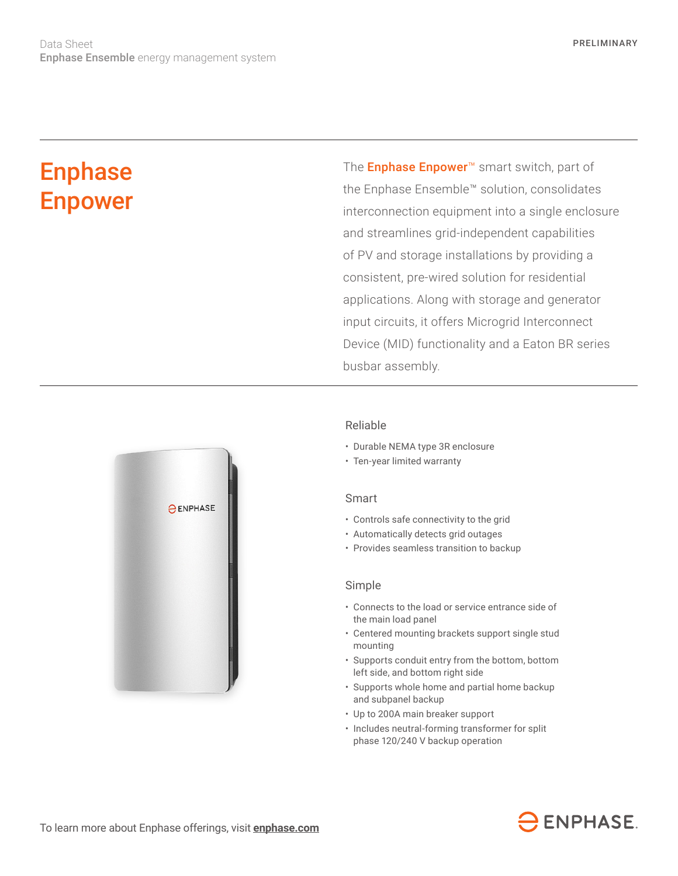# **Enphase** Enpower

The **Enphase Enpower**<sup>™</sup> smart switch, part of the Enphase Ensemble™ solution, consolidates interconnection equipment into a single enclosure and streamlines grid-independent capabilities of PV and storage installations by providing a consistent, pre-wired solution for residential applications. Along with storage and generator input circuits, it offers Microgrid Interconnect Device (MID) functionality and a Eaton BR series busbar assembly.



### Reliable

- Durable NEMA type 3R enclosure
- Ten-year limited warranty

#### Smart

- Controls safe connectivity to the grid
- Automatically detects grid outages
- Provides seamless transition to backup

#### Simple

- Connects to the load or service entrance side of the main load panel
- Centered mounting brackets support single stud mounting
- Supports conduit entry from the bottom, bottom left side, and bottom right side
- Supports whole home and partial home backup and subpanel backup
- Up to 200A main breaker support
- Includes neutral-forming transformer for split phase 120/240 V backup operation